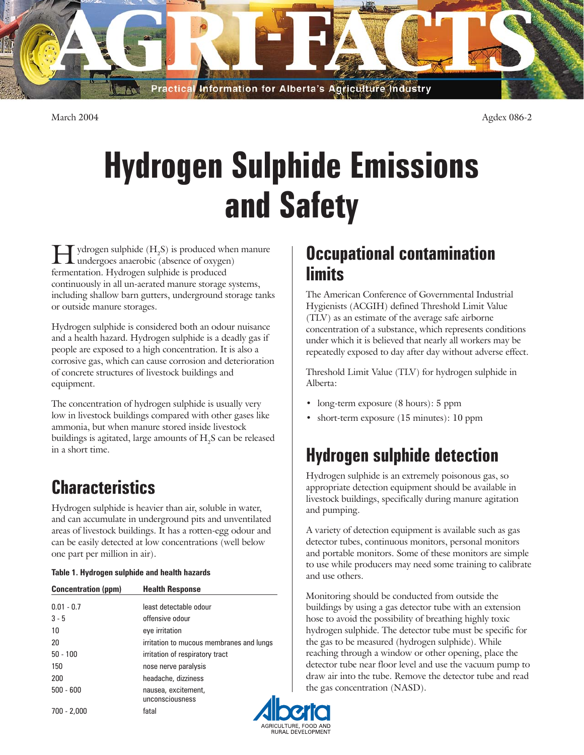Practical Information for Alberta's Agriculture Industry

March 2004 Agdex 086-2

# **Hydrogen Sulphide Emissions and Safety**

 $\prod$  ydrogen sulphide  $(H_2S)$  is produced when manure<br>undergoes anaerobic (absence of oxygen) undergoes anaerobic (absence of oxygen) fermentation. Hydrogen sulphide is produced continuously in all un-aerated manure storage systems, including shallow barn gutters, underground storage tanks or outside manure storages.

Hydrogen sulphide is considered both an odour nuisance and a health hazard. Hydrogen sulphide is a deadly gas if people are exposed to a high concentration. It is also a corrosive gas, which can cause corrosion and deterioration of concrete structures of livestock buildings and equipment.

The concentration of hydrogen sulphide is usually very low in livestock buildings compared with other gases like ammonia, but when manure stored inside livestock buildings is agitated, large amounts of  $\mathrm{H}_2\mathrm{S}$  can be released in a short time.

# **Characteristics**

Hydrogen sulphide is heavier than air, soluble in water, and can accumulate in underground pits and unventilated areas of livestock buildings. It has a rotten-egg odour and can be easily detected at low concentrations (well below one part per million in air).

|  |  | Table 1. Hydrogen sulphide and health hazards |  |
|--|--|-----------------------------------------------|--|
|  |  |                                               |  |

| <b>Concentration (ppm)</b> | <b>Health Response</b>                   |  |  |
|----------------------------|------------------------------------------|--|--|
| $0.01 - 0.7$               | least detectable odour                   |  |  |
| $3 - 5$                    | offensive odour                          |  |  |
| 10                         | eye irritation                           |  |  |
| 20                         | irritation to mucous membranes and lungs |  |  |
| $50 - 100$                 | irritation of respiratory tract          |  |  |
| 150                        | nose nerve paralysis                     |  |  |
| 200                        | headache, dizziness                      |  |  |
| $500 - 600$                | nausea, excitement,<br>unconsciousness   |  |  |
| $700 - 2,000$              | fatal                                    |  |  |

### **Occupational contamination limits**

The American Conference of Governmental Industrial Hygienists (ACGIH) defined Threshold Limit Value (TLV) as an estimate of the average safe airborne concentration of a substance, which represents conditions under which it is believed that nearly all workers may be repeatedly exposed to day after day without adverse effect.

Threshold Limit Value (TLV) for hydrogen sulphide in Alberta:

- long-term exposure (8 hours): 5 ppm
- short-term exposure (15 minutes): 10 ppm

## **Hydrogen sulphide detection**

Hydrogen sulphide is an extremely poisonous gas, so appropriate detection equipment should be available in livestock buildings, specifically during manure agitation and pumping.

A variety of detection equipment is available such as gas detector tubes, continuous monitors, personal monitors and portable monitors. Some of these monitors are simple to use while producers may need some training to calibrate and use others.

Monitoring should be conducted from outside the buildings by using a gas detector tube with an extension hose to avoid the possibility of breathing highly toxic hydrogen sulphide. The detector tube must be specific for the gas to be measured (hydrogen sulphide). While reaching through a window or other opening, place the detector tube near floor level and use the vacuum pump to draw air into the tube. Remove the detector tube and read the gas concentration (NASD).